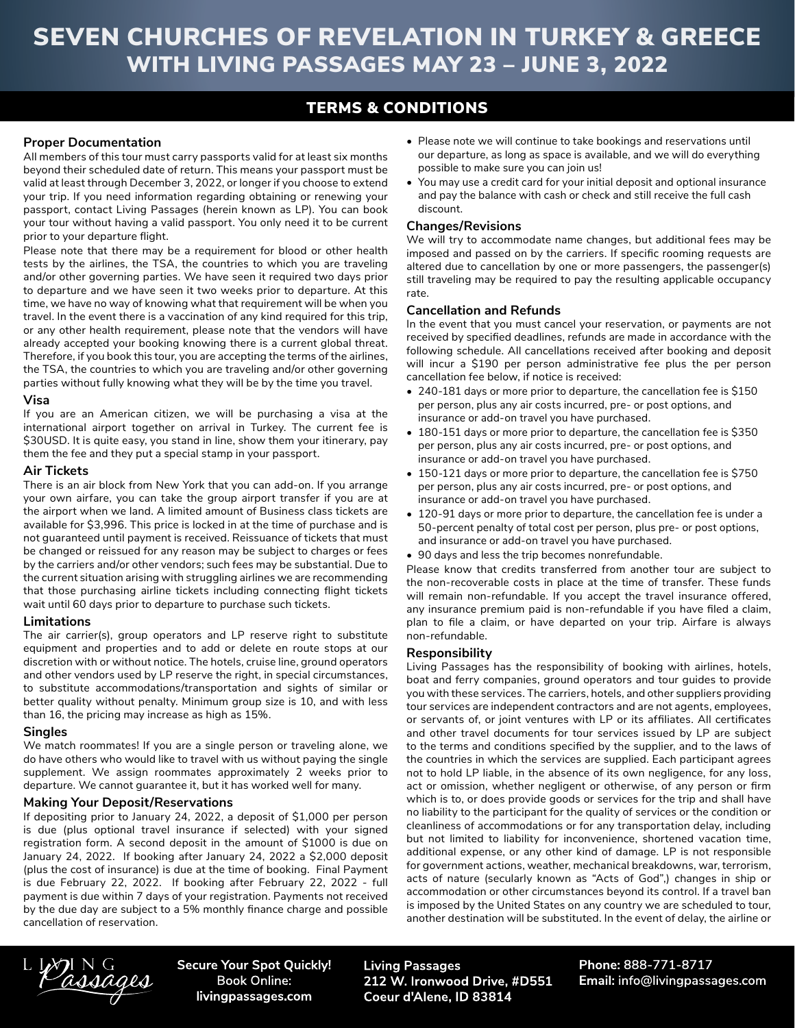# SEVEN CHURCHES OF REVELATION IN TURKEY & GREECE WITH LIVING PASSAGES MAY 23 – JUNE 3, 2022

# TERMS & CONDITIONS

# **Proper Documentation**

All members of this tour must carry passports valid for at least six months beyond their scheduled date of return. This means your passport must be valid at least through December 3, 2022, or longer if you choose to extend your trip. If you need information regarding obtaining or renewing your passport, contact Living Passages (herein known as LP). You can book your tour without having a valid passport. You only need it to be current prior to your departure flight.

Please note that there may be a requirement for blood or other health tests by the airlines, the TSA, the countries to which you are traveling and/or other governing parties. We have seen it required two days prior to departure and we have seen it two weeks prior to departure. At this time, we have no way of knowing what that requirement will be when you travel. In the event there is a vaccination of any kind required for this trip, or any other health requirement, please note that the vendors will have already accepted your booking knowing there is a current global threat. Therefore, if you book this tour, you are accepting the terms of the airlines, the TSA, the countries to which you are traveling and/or other governing parties without fully knowing what they will be by the time you travel.

#### **Visa**

If you are an American citizen, we will be purchasing a visa at the international airport together on arrival in Turkey. The current fee is \$30USD. It is quite easy, you stand in line, show them your itinerary, pay them the fee and they put a special stamp in your passport.

#### **Air Tickets**

There is an air block from New York that you can add-on. If you arrange your own airfare, you can take the group airport transfer if you are at the airport when we land. A limited amount of Business class tickets are available for \$3,996. This price is locked in at the time of purchase and is not guaranteed until payment is received. Reissuance of tickets that must be changed or reissued for any reason may be subject to charges or fees by the carriers and/or other vendors; such fees may be substantial. Due to the current situation arising with struggling airlines we are recommending that those purchasing airline tickets including connecting flight tickets wait until 60 days prior to departure to purchase such tickets.

#### **Limitations**

The air carrier(s), group operators and LP reserve right to substitute equipment and properties and to add or delete en route stops at our discretion with or without notice. The hotels, cruise line, ground operators and other vendors used by LP reserve the right, in special circumstances, to substitute accommodations/transportation and sights of similar or better quality without penalty. Minimum group size is 10, and with less than 16, the pricing may increase as high as 15%.

#### **Singles**

We match roommates! If you are a single person or traveling alone, we do have others who would like to travel with us without paying the single supplement. We assign roommates approximately 2 weeks prior to departure. We cannot guarantee it, but it has worked well for many.

#### **Making Your Deposit/Reservations**

If depositing prior to January 24, 2022, a deposit of \$1,000 per person is due (plus optional travel insurance if selected) with your signed registration form. A second deposit in the amount of \$1000 is due on January 24, 2022. If booking after January 24, 2022 a \$2,000 deposit (plus the cost of insurance) is due at the time of booking. Final Payment is due February 22, 2022. If booking after February 22, 2022 - full payment is due within 7 days of your registration. Payments not received by the due day are subject to a 5% monthly finance charge and possible cancellation of reservation.

- Please note we will continue to take bookings and reservations until our departure, as long as space is available, and we will do everything possible to make sure you can join us!
- You may use a credit card for your initial deposit and optional insurance and pay the balance with cash or check and still receive the full cash discount.

### **Changes/Revisions**

We will try to accommodate name changes, but additional fees may be imposed and passed on by the carriers. If specific rooming requests are altered due to cancellation by one or more passengers, the passenger(s) still traveling may be required to pay the resulting applicable occupancy rate.

## **Cancellation and Refunds**

In the event that you must cancel your reservation, or payments are not received by specified deadlines, refunds are made in accordance with the following schedule. All cancellations received after booking and deposit will incur a \$190 per person administrative fee plus the per person cancellation fee below, if notice is received:

- 240-181 days or more prior to departure, the cancellation fee is \$150 per person, plus any air costs incurred, pre- or post options, and insurance or add-on travel you have purchased.
- 180-151 days or more prior to departure, the cancellation fee is \$350 per person, plus any air costs incurred, pre- or post options, and insurance or add-on travel you have purchased.
- 150-121 days or more prior to departure, the cancellation fee is \$750 per person, plus any air costs incurred, pre- or post options, and insurance or add-on travel you have purchased.
- 120-91 days or more prior to departure, the cancellation fee is under a 50-percent penalty of total cost per person, plus pre- or post options, and insurance or add-on travel you have purchased.
- 90 days and less the trip becomes nonrefundable.

Please know that credits transferred from another tour are subject to the non-recoverable costs in place at the time of transfer. These funds will remain non-refundable. If you accept the travel insurance offered, any insurance premium paid is non-refundable if you have filed a claim, plan to file a claim, or have departed on your trip. Airfare is always non-refundable.

#### **Responsibility**

Living Passages has the responsibility of booking with airlines, hotels, boat and ferry companies, ground operators and tour guides to provide you with these services. The carriers, hotels, and other suppliers providing tour services are independent contractors and are not agents, employees, or servants of, or joint ventures with LP or its affiliates. All certificates and other travel documents for tour services issued by LP are subject to the terms and conditions specified by the supplier, and to the laws of the countries in which the services are supplied. Each participant agrees not to hold LP liable, in the absence of its own negligence, for any loss, act or omission, whether negligent or otherwise, of any person or firm which is to, or does provide goods or services for the trip and shall have no liability to the participant for the quality of services or the condition or cleanliness of accommodations or for any transportation delay, including but not limited to liability for inconvenience, shortened vacation time, additional expense, or any other kind of damage. LP is not responsible for government actions, weather, mechanical breakdowns, war, terrorism, acts of nature (secularly known as "Acts of God",) changes in ship or accommodation or other circumstances beyond its control. If a travel ban is imposed by the United States on any country we are scheduled to tour, another destination will be substituted. In the event of delay, the airline or

assages

**Secure Your Spot Quickly! Book Online:** livingpassages.com

**Living Passages** 212 W. Ironwood Drive, #D551 Coeur d'Alene, ID 83814

Phone: 888-771-8717 Email: info@livingpassages.com